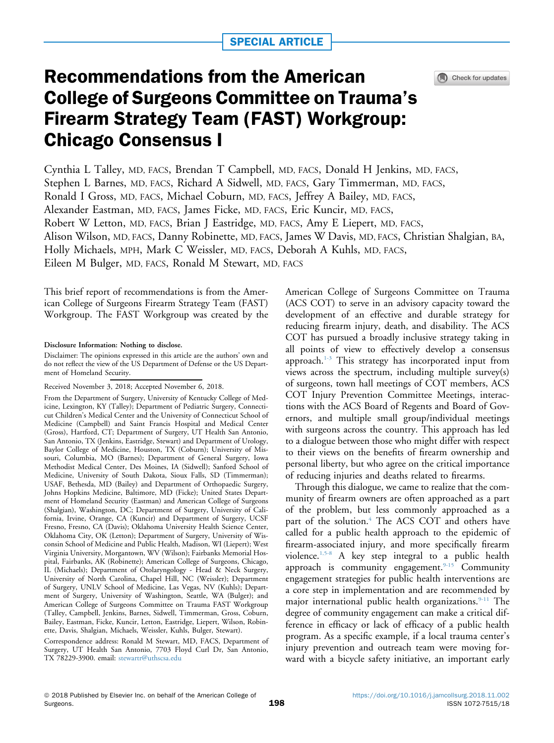

# Recommendations from the American College of Surgeons Committee on Trauma's Firearm Strategy Team (FAST) Workgroup: Chicago Consensus I

Cynthia L Talley, MD, FACS, Brendan T Campbell, MD, FACS, Donald H Jenkins, MD, FACS, Stephen L Barnes, MD, FACS, Richard A Sidwell, MD, FACS, Gary Timmerman, MD, FACS, Ronald I Gross, MD, FACS, Michael Coburn, MD, FACS, Jeffrey A Bailey, MD, FACS, Alexander Eastman, MD, FACS, James Ficke, MD, FACS, Eric Kuncir, MD, FACS, Robert W Letton, MD, FACS, Brian J Eastridge, MD, FACS, Amy E Liepert, MD, FACS, Alison Wilson, MD, FACS, Danny Robinette, MD, FACS, James W Davis, MD, FACS, Christian Shalgian, BA, Holly Michaels, MPH, Mark C Weissler, MD, FACS, Deborah A Kuhls, MD, FACS, Eileen M Bulger, MD, FACS, Ronald M Stewart, MD, FACS

This brief report of recommendations is from the American College of Surgeons Firearm Strategy Team (FAST) Workgroup. The FAST Workgroup was created by the

Disclosure Information: Nothing to disclose.

Disclaimer: The opinions expressed in this article are the authors' own and do not reflect the view of the US Department of Defense or the US Department of Homeland Security.

Correspondence address: Ronald M Stewart, MD, FACS, Department of Surgery, UT Health San Antonio, 7703 Floyd Curl Dr, San Antonio, TX 78229-3900. email: [stewartr@uthscsa.edu](mailto:stewartr@uthscsa.edu)

American College of Surgeons Committee on Trauma (ACS COT) to serve in an advisory capacity toward the development of an effective and durable strategy for reducing firearm injury, death, and disability. The ACS COT has pursued a broadly inclusive strategy taking in all points of view to effectively develop a consensus approach.[1-3](#page-7-0) This strategy has incorporated input from views across the spectrum, including multiple survey(s) of surgeons, town hall meetings of COT members, ACS COT Injury Prevention Committee Meetings, interactions with the ACS Board of Regents and Board of Governors, and multiple small group/individual meetings with surgeons across the country. This approach has led to a dialogue between those who might differ with respect to their views on the benefits of firearm ownership and personal liberty, but who agree on the critical importance of reducing injuries and deaths related to firearms.

Through this dialogue, we came to realize that the community of firearm owners are often approached as a part of the problem, but less commonly approached as a part of the solution.<sup>4</sup> The ACS COT and others have called for a public health approach to the epidemic of firearm-associated injury, and more specifically firearm violence[.1,5-8](#page-7-0) A key step integral to a public health approach is community engagement.<sup>[9-15](#page-7-0)</sup> Community engagement strategies for public health interventions are a core step in implementation and are recommended by major international public health organizations. $9-11$  The degree of community engagement can make a critical difference in efficacy or lack of efficacy of a public health program. As a specific example, if a local trauma center's injury prevention and outreach team were moving forward with a bicycle safety initiative, an important early

Received November 3, 2018; Accepted November 6, 2018.

From the Department of Surgery, University of Kentucky College of Medicine, Lexington, KY (Talley); Department of Pediatric Surgery, Connecticut Children's Medical Center and the University of Connecticut School of Medicine (Campbell) and Saint Francis Hospital and Medical Center (Gross), Hartford, CT; Department of Surgery, UT Health San Antonio, San Antonio, TX (Jenkins, Eastridge, Stewart) and Department of Urology, Baylor College of Medicine, Houston, TX (Coburn); University of Missouri, Columbia, MO (Barnes); Department of General Surgery, Iowa Methodist Medical Center, Des Moines, IA (Sidwell); Sanford School of Medicine, University of South Dakota, Sioux Falls, SD (Timmerman); USAF, Bethesda, MD (Bailey) and Department of Orthopaedic Surgery, Johns Hopkins Medicine, Baltimore, MD (Ficke); United States Department of Homeland Security (Eastman) and American College of Surgeons (Shalgian), Washington, DC; Department of Surgery, University of California, Irvine, Orange, CA (Kuncir) and Department of Surgery, UCSF Fresno, Fresno, CA (Davis); Oklahoma University Health Science Center, Oklahoma City, OK (Letton); Department of Surgery, University of Wisconsin School of Medicine and Public Health, Madison, WI (Liepert); West Virginia University, Morgantown, WV (Wilson); Fairbanks Memorial Hospital, Fairbanks, AK (Robinette); American College of Surgeons, Chicago, IL (Michaels); Department of Otolaryngology - Head & Neck Surgery, University of North Carolina, Chapel Hill, NC (Weissler); Department of Surgery, UNLV School of Medicine, Las Vegas, NV (Kuhls); Department of Surgery, University of Washington, Seattle, WA (Bulger); and American College of Surgeons Committee on Trauma FAST Workgroup (Talley, Campbell, Jenkins, Barnes, Sidwell, Timmerman, Gross, Coburn, Bailey, Eastman, Ficke, Kuncir, Letton, Eastridge, Liepert, Wilson, Robinette, Davis, Shalgian, Michaels, Weissler, Kuhls, Bulger, Stewart).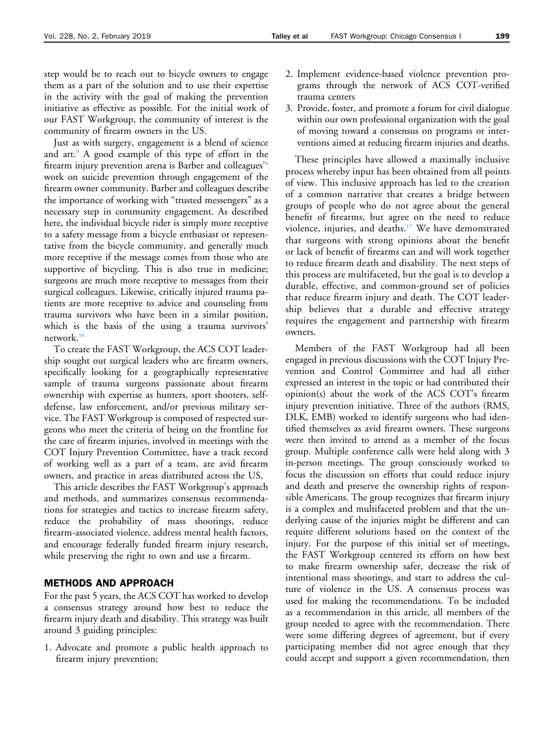Just as with surgery, engagement is a blend of science and art.<sup>9</sup> A good example of this type of effort in the firearm injury prevention arena is Barber and colleagues'[4](#page-7-0) work on suicide prevention through engagement of the firearm owner community. Barber and colleagues describe the importance of working with "trusted messengers" as a necessary step in community engagement. As described here, the individual bicycle rider is simply more receptive to a safety message from a bicycle enthusiast or representative from the bicycle community, and generally much more receptive if the message comes from those who are supportive of bicycling. This is also true in medicine; surgeons are much more receptive to messages from their surgical colleagues. Likewise, critically injured trauma patients are more receptive to advice and counseling from trauma survivors who have been in a similar position, which is the basis of the using a trauma survivors' network.[16](#page-7-0)

To create the FAST Workgroup, the ACS COT leadership sought out surgical leaders who are firearm owners, specifically looking for a geographically representative sample of trauma surgeons passionate about firearm ownership with expertise as hunters, sport shooters, selfdefense, law enforcement, and/or previous military service. The FAST Workgroup is composed of respected surgeons who meet the criteria of being on the frontline for the care of firearm injuries, involved in meetings with the COT Injury Prevention Committee, have a track record of working well as a part of a team, are avid firearm owners, and practice in areas distributed across the US.

This article describes the FAST Workgroup's approach and methods, and summarizes consensus recommendations for strategies and tactics to increase firearm safety, reduce the probability of mass shootings, reduce firearm-associated violence, address mental health factors, and encourage federally funded firearm injury research, while preserving the right to own and use a firearm.

# METHODS AND APPROACH

For the past 5 years, the ACS COT has worked to develop a consensus strategy around how best to reduce the firearm injury death and disability. This strategy was built around 3 guiding principles:

1. Advocate and promote a public health approach to firearm injury prevention;

- 2. Implement evidence-based violence prevention programs through the network of ACS COT-verified trauma centers
- 3. Provide, foster, and promote a forum for civil dialogue within our own professional organization with the goal of moving toward a consensus on programs or interventions aimed at reducing firearm injuries and deaths.

These principles have allowed a maximally inclusive process whereby input has been obtained from all points of view. This inclusive approach has led to the creation of a common narrative that creates a bridge between groups of people who do not agree about the general benefit of firearms, but agree on the need to reduce violence, injuries, and deaths.[17](#page-7-0) We have demonstrated that surgeons with strong opinions about the benefit or lack of benefit of firearms can and will work together to reduce firearm death and disability. The next steps of this process are multifaceted, but the goal is to develop a durable, effective, and common-ground set of policies that reduce firearm injury and death. The COT leadership believes that a durable and effective strategy requires the engagement and partnership with firearm owners.

Members of the FAST Workgroup had all been engaged in previous discussions with the COT Injury Prevention and Control Committee and had all either expressed an interest in the topic or had contributed their opinion(s) about the work of the ACS COT's firearm injury prevention initiative. Three of the authors (RMS, DLK, EMB) worked to identify surgeons who had identified themselves as avid firearm owners. These surgeons were then invited to attend as a member of the focus group. Multiple conference calls were held along with 3 in-person meetings. The group consciously worked to focus the discussion on efforts that could reduce injury and death and preserve the ownership rights of responsible Americans. The group recognizes that firearm injury is a complex and multifaceted problem and that the underlying cause of the injuries might be different and can require different solutions based on the context of the injury. For the purpose of this initial set of meetings, the FAST Workgroup centered its efforts on how best to make firearm ownership safer, decrease the risk of intentional mass shootings, and start to address the culture of violence in the US. A consensus process was used for making the recommendations. To be included as a recommendation in this article, all members of the group needed to agree with the recommendation. There were some differing degrees of agreement, but if every participating member did not agree enough that they could accept and support a given recommendation, then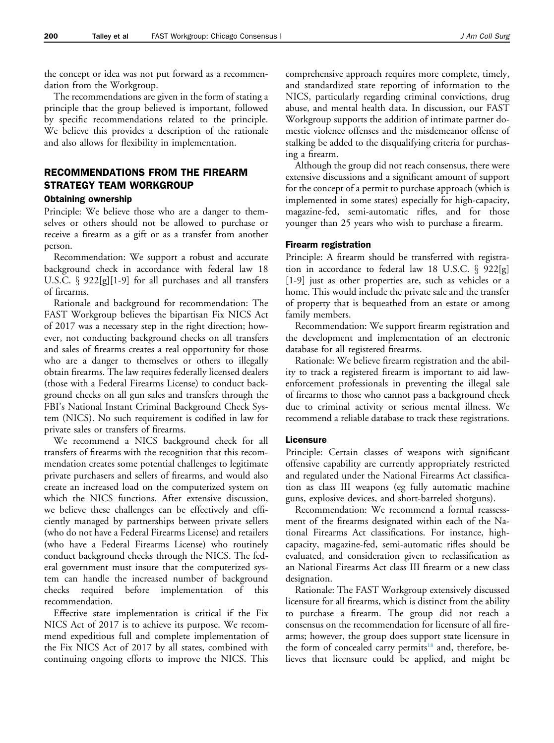the concept or idea was not put forward as a recommendation from the Workgroup.

The recommendations are given in the form of stating a principle that the group believed is important, followed by specific recommendations related to the principle. We believe this provides a description of the rationale and also allows for flexibility in implementation.

# RECOMMENDATIONS FROM THE FIREARM STRATEGY TEAM WORKGROUP

# Obtaining ownership

Principle: We believe those who are a danger to themselves or others should not be allowed to purchase or receive a firearm as a gift or as a transfer from another person.

Recommendation: We support a robust and accurate background check in accordance with federal law 18 U.S.C.  $\S$  922[g][1-9] for all purchases and all transfers of firearms.

Rationale and background for recommendation: The FAST Workgroup believes the bipartisan Fix NICS Act of 2017 was a necessary step in the right direction; however, not conducting background checks on all transfers and sales of firearms creates a real opportunity for those who are a danger to themselves or others to illegally obtain firearms. The law requires federally licensed dealers (those with a Federal Firearms License) to conduct background checks on all gun sales and transfers through the FBI's National Instant Criminal Background Check System (NICS). No such requirement is codified in law for private sales or transfers of firearms.

We recommend a NICS background check for all transfers of firearms with the recognition that this recommendation creates some potential challenges to legitimate private purchasers and sellers of firearms, and would also create an increased load on the computerized system on which the NICS functions. After extensive discussion, we believe these challenges can be effectively and efficiently managed by partnerships between private sellers (who do not have a Federal Firearms License) and retailers (who have a Federal Firearms License) who routinely conduct background checks through the NICS. The federal government must insure that the computerized system can handle the increased number of background checks required before implementation of this recommendation.

Effective state implementation is critical if the Fix NICS Act of 2017 is to achieve its purpose. We recommend expeditious full and complete implementation of the Fix NICS Act of 2017 by all states, combined with continuing ongoing efforts to improve the NICS. This

comprehensive approach requires more complete, timely, and standardized state reporting of information to the NICS, particularly regarding criminal convictions, drug abuse, and mental health data. In discussion, our FAST Workgroup supports the addition of intimate partner domestic violence offenses and the misdemeanor offense of stalking be added to the disqualifying criteria for purchasing a firearm.

Although the group did not reach consensus, there were extensive discussions and a significant amount of support for the concept of a permit to purchase approach (which is implemented in some states) especially for high-capacity, magazine-fed, semi-automatic rifles, and for those younger than 25 years who wish to purchase a firearm.

#### Firearm registration

Principle: A firearm should be transferred with registration in accordance to federal law 18 U.S.C.  $\S$  922[g] [1-9] just as other properties are, such as vehicles or a home. This would include the private sale and the transfer of property that is bequeathed from an estate or among family members.

Recommendation: We support firearm registration and the development and implementation of an electronic database for all registered firearms.

Rationale: We believe firearm registration and the ability to track a registered firearm is important to aid lawenforcement professionals in preventing the illegal sale of firearms to those who cannot pass a background check due to criminal activity or serious mental illness. We recommend a reliable database to track these registrations.

#### Licensure

Principle: Certain classes of weapons with significant offensive capability are currently appropriately restricted and regulated under the National Firearms Act classification as class III weapons (eg fully automatic machine guns, explosive devices, and short-barreled shotguns).

Recommendation: We recommend a formal reassessment of the firearms designated within each of the National Firearms Act classifications. For instance, highcapacity, magazine-fed, semi-automatic rifles should be evaluated, and consideration given to reclassification as an National Firearms Act class III firearm or a new class designation.

Rationale: The FAST Workgroup extensively discussed licensure for all firearms, which is distinct from the ability to purchase a firearm. The group did not reach a consensus on the recommendation for licensure of all firearms; however, the group does support state licensure in the form of concealed carry permits<sup>18</sup> and, therefore, believes that licensure could be applied, and might be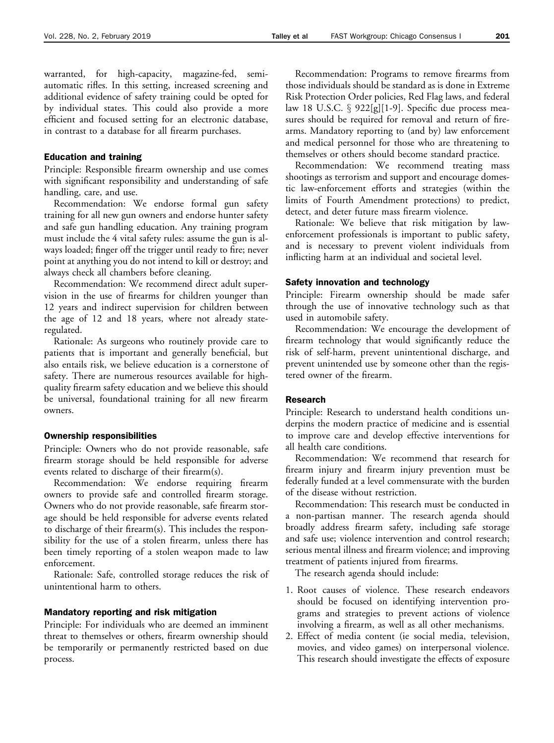warranted, for high-capacity, magazine-fed, semiautomatic rifles. In this setting, increased screening and additional evidence of safety training could be opted for by individual states. This could also provide a more efficient and focused setting for an electronic database, in contrast to a database for all firearm purchases.

# Education and training

Principle: Responsible firearm ownership and use comes with significant responsibility and understanding of safe handling, care, and use.

Recommendation: We endorse formal gun safety training for all new gun owners and endorse hunter safety and safe gun handling education. Any training program must include the 4 vital safety rules: assume the gun is always loaded; finger off the trigger until ready to fire; never point at anything you do not intend to kill or destroy; and always check all chambers before cleaning.

Recommendation: We recommend direct adult supervision in the use of firearms for children younger than 12 years and indirect supervision for children between the age of 12 and 18 years, where not already stateregulated.

Rationale: As surgeons who routinely provide care to patients that is important and generally beneficial, but also entails risk, we believe education is a cornerstone of safety. There are numerous resources available for highquality firearm safety education and we believe this should be universal, foundational training for all new firearm owners.

### Ownership responsibilities

Principle: Owners who do not provide reasonable, safe firearm storage should be held responsible for adverse events related to discharge of their firearm(s).

Recommendation: We endorse requiring firearm owners to provide safe and controlled firearm storage. Owners who do not provide reasonable, safe firearm storage should be held responsible for adverse events related to discharge of their firearm(s). This includes the responsibility for the use of a stolen firearm, unless there has been timely reporting of a stolen weapon made to law enforcement.

Rationale: Safe, controlled storage reduces the risk of unintentional harm to others.

#### Mandatory reporting and risk mitigation

Principle: For individuals who are deemed an imminent threat to themselves or others, firearm ownership should be temporarily or permanently restricted based on due process.

Recommendation: Programs to remove firearms from those individuals should be standard as is done in Extreme Risk Protection Order policies, Red Flag laws, and federal law 18 U.S.C.  $\S$  922[g][1-9]. Specific due process measures should be required for removal and return of firearms. Mandatory reporting to (and by) law enforcement and medical personnel for those who are threatening to themselves or others should become standard practice.

Recommendation: We recommend treating mass shootings as terrorism and support and encourage domestic law-enforcement efforts and strategies (within the limits of Fourth Amendment protections) to predict, detect, and deter future mass firearm violence.

Rationale: We believe that risk mitigation by lawenforcement professionals is important to public safety, and is necessary to prevent violent individuals from inflicting harm at an individual and societal level.

#### Safety innovation and technology

Principle: Firearm ownership should be made safer through the use of innovative technology such as that used in automobile safety.

Recommendation: We encourage the development of firearm technology that would significantly reduce the risk of self-harm, prevent unintentional discharge, and prevent unintended use by someone other than the registered owner of the firearm.

# Research

Principle: Research to understand health conditions underpins the modern practice of medicine and is essential to improve care and develop effective interventions for all health care conditions.

Recommendation: We recommend that research for firearm injury and firearm injury prevention must be federally funded at a level commensurate with the burden of the disease without restriction.

Recommendation: This research must be conducted in a non-partisan manner. The research agenda should broadly address firearm safety, including safe storage and safe use; violence intervention and control research; serious mental illness and firearm violence; and improving treatment of patients injured from firearms.

The research agenda should include:

- 1. Root causes of violence. These research endeavors should be focused on identifying intervention programs and strategies to prevent actions of violence involving a firearm, as well as all other mechanisms.
- 2. Effect of media content (ie social media, television, movies, and video games) on interpersonal violence. This research should investigate the effects of exposure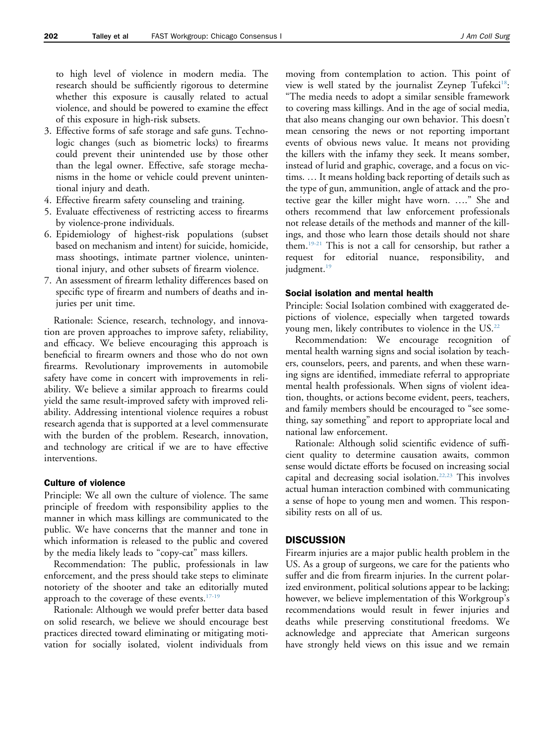to high level of violence in modern media. The research should be sufficiently rigorous to determine whether this exposure is causally related to actual violence, and should be powered to examine the effect of this exposure in high-risk subsets.

- 3. Effective forms of safe storage and safe guns. Technologic changes (such as biometric locks) to firearms could prevent their unintended use by those other than the legal owner. Effective, safe storage mechanisms in the home or vehicle could prevent unintentional injury and death.
- 4. Effective firearm safety counseling and training.
- 5. Evaluate effectiveness of restricting access to firearms by violence-prone individuals.
- 6. Epidemiology of highest-risk populations (subset based on mechanism and intent) for suicide, homicide, mass shootings, intimate partner violence, unintentional injury, and other subsets of firearm violence.
- 7. An assessment of firearm lethality differences based on specific type of firearm and numbers of deaths and injuries per unit time.

Rationale: Science, research, technology, and innovation are proven approaches to improve safety, reliability, and efficacy. We believe encouraging this approach is beneficial to firearm owners and those who do not own firearms. Revolutionary improvements in automobile safety have come in concert with improvements in reliability. We believe a similar approach to firearms could yield the same result-improved safety with improved reliability. Addressing intentional violence requires a robust research agenda that is supported at a level commensurate with the burden of the problem. Research, innovation, and technology are critical if we are to have effective interventions.

#### Culture of violence

Principle: We all own the culture of violence. The same principle of freedom with responsibility applies to the manner in which mass killings are communicated to the public. We have concerns that the manner and tone in which information is released to the public and covered by the media likely leads to "copy-cat" mass killers.

Recommendation: The public, professionals in law enforcement, and the press should take steps to eliminate notoriety of the shooter and take an editorially muted approach to the coverage of these events[.17-19](#page-7-0)

Rationale: Although we would prefer better data based on solid research, we believe we should encourage best practices directed toward eliminating or mitigating motivation for socially isolated, violent individuals from

moving from contemplation to action. This point of view is well stated by the journalist Zeynep Tufekci<sup>18</sup>: "The media needs to adopt a similar sensible framework to covering mass killings. And in the age of social media, that also means changing our own behavior. This doesn't mean censoring the news or not reporting important events of obvious news value. It means not providing the killers with the infamy they seek. It means somber, instead of lurid and graphic, coverage, and a focus on victims. . It means holding back reporting of details such as the type of gun, ammunition, angle of attack and the protective gear the killer might have worn. ...." She and others recommend that law enforcement professionals not release details of the methods and manner of the killings, and those who learn those details should not share them[.19-21](#page-8-0) This is not a call for censorship, but rather a request for editorial nuance, responsibility, and judgment.<sup>[19](#page-8-0)</sup>

#### Social isolation and mental health

Principle: Social Isolation combined with exaggerated depictions of violence, especially when targeted towards young men, likely contributes to violence in the US.<sup>[22](#page-8-0)</sup>

Recommendation: We encourage recognition of mental health warning signs and social isolation by teachers, counselors, peers, and parents, and when these warning signs are identified, immediate referral to appropriate mental health professionals. When signs of violent ideation, thoughts, or actions become evident, peers, teachers, and family members should be encouraged to "see something, say something" and report to appropriate local and national law enforcement.

Rationale: Although solid scientific evidence of sufficient quality to determine causation awaits, common sense would dictate efforts be focused on increasing social capital and decreasing social isolation.[22,23](#page-8-0) This involves actual human interaction combined with communicating a sense of hope to young men and women. This responsibility rests on all of us.

# **DISCUSSION**

Firearm injuries are a major public health problem in the US. As a group of surgeons, we care for the patients who suffer and die from firearm injuries. In the current polarized environment, political solutions appear to be lacking; however, we believe implementation of this Workgroup's recommendations would result in fewer injuries and deaths while preserving constitutional freedoms. We acknowledge and appreciate that American surgeons have strongly held views on this issue and we remain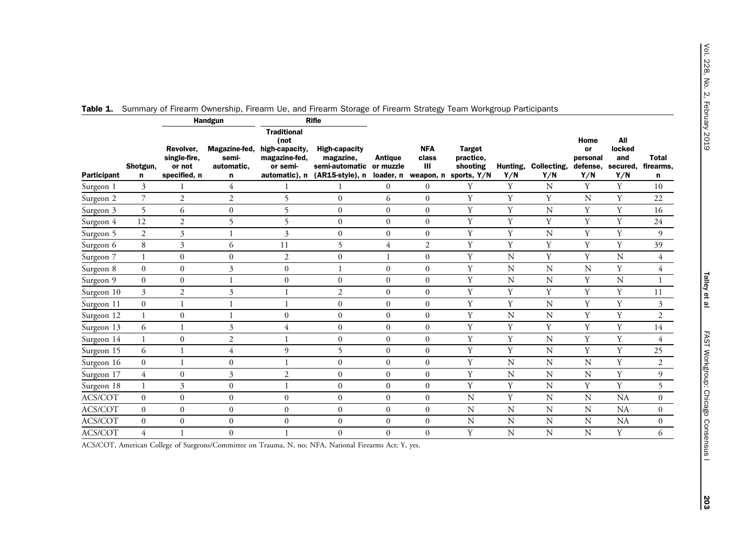|             | Shotgun,<br>n    | Handgun                                             |                                           | <b>Rifle</b>                                                              |                                                                                      |                                          |                                       |                                                       |                 |                    |                                           |                                         |                         |
|-------------|------------------|-----------------------------------------------------|-------------------------------------------|---------------------------------------------------------------------------|--------------------------------------------------------------------------------------|------------------------------------------|---------------------------------------|-------------------------------------------------------|-----------------|--------------------|-------------------------------------------|-----------------------------------------|-------------------------|
| Participant |                  | Revolver,<br>single-fire,<br>or not<br>specified, n | Magazine-fed,<br>semi-<br>automatic,<br>n | <b>Traditional</b><br>(not<br>high-capacity,<br>magazine-fed,<br>or semi- | <b>High-capacity</b><br>magazine,<br>semi-automatic<br>automatic), n (AR15-style), n | <b>Antique</b><br>or muzzle<br>loader, n | <b>NFA</b><br>class<br>Ш<br>weapon, n | <b>Target</b><br>practice,<br>shooting<br>sports, Y/N | Hunting,<br>Y/N | Collecting,<br>Y/N | Home<br>or<br>personal<br>defense,<br>Y/N | All<br>locked<br>and<br>secured,<br>Y/N | Total<br>firearms,<br>n |
| Surgeon 1   | 3                |                                                     | 4                                         |                                                                           | 1                                                                                    | $\boldsymbol{0}$                         | $\boldsymbol{0}$                      | Y                                                     | Y               | N                  | Y                                         | Y                                       | 10                      |
| Surgeon 2   | $\overline{7}$   | $\overline{2}$                                      | $\overline{2}$                            | 5                                                                         | $\boldsymbol{0}$                                                                     | 6                                        | $\Omega$                              | Y                                                     | Y               | Y                  | N                                         | Y                                       | 22                      |
| Surgeon 3   | $\overline{5}$   | 6                                                   | $\overline{0}$                            | 5                                                                         | $\boldsymbol{0}$                                                                     | $\mathbf{0}$                             | $\mathbf{0}$                          | Y                                                     | Y               | N                  | Y                                         | Y                                       | 16                      |
| Surgeon 4   | 12               | $\overline{2}$                                      | 5                                         | 5                                                                         | $\boldsymbol{0}$                                                                     | $\boldsymbol{0}$                         | $\mathbf{0}$                          | Y                                                     | Y               | Y                  | Y                                         | Y                                       | 24                      |
| Surgeon 5   | $\mathfrak{2}$   | 3                                                   |                                           | 3                                                                         | $\boldsymbol{0}$                                                                     | $\boldsymbol{0}$                         | $\boldsymbol{0}$                      | Y                                                     | Y               | $\mathbf N$        | $\mathbf Y$                               | Y                                       | 9                       |
| Surgeon 6   | 8                | 3                                                   | 6                                         | 11                                                                        | 5                                                                                    | 4                                        | $\mathfrak{2}$                        | Y                                                     | Y               | Y                  | Y                                         | Y                                       | 39                      |
| Surgeon 7   |                  | $\mathbf{0}$                                        | $\mathbf{0}$                              | $\overline{2}$                                                            | $\boldsymbol{0}$                                                                     |                                          | $\boldsymbol{0}$                      | Y                                                     | ${\bf N}$       | Y                  | $\mathbf Y$                               | N                                       | 4                       |
| Surgeon 8   | $\boldsymbol{0}$ | $\boldsymbol{0}$                                    | 3                                         | $\boldsymbol{0}$                                                          | $\mathbf{1}$                                                                         | $\boldsymbol{0}$                         | $\boldsymbol{0}$                      | Y                                                     | ${\bf N}$       | $\mathbf N$        | $\mathbf N$                               | $\mathbf Y$                             | $\overline{4}$          |
| Surgeon 9   | $\Omega$         | $\boldsymbol{0}$                                    |                                           | $\boldsymbol{0}$                                                          | $\boldsymbol{0}$                                                                     | $\boldsymbol{0}$                         | $\mathbf{0}$                          | Y                                                     | N               | N                  | Y                                         | N                                       | 1                       |
| Surgeon 10  | 3                | $\overline{2}$                                      | 3                                         |                                                                           | $\overline{2}$                                                                       | $\mathbf{0}$                             | $\mathbf{0}$                          | Y                                                     | Y               | Y                  | Y                                         | Y                                       | 11                      |
| Surgeon 11  | $\mathbf{0}$     | 1                                                   |                                           |                                                                           | $\boldsymbol{0}$                                                                     | $\mathbf{0}$                             | $\mathbf{0}$                          | Y                                                     | Y               | N                  | Y                                         | Y                                       | 3                       |
| Surgeon 12  | $\mathbf{1}$     | $\boldsymbol{0}$                                    | $\mathbf{1}$                              | $\boldsymbol{0}$                                                          | $\boldsymbol{0}$                                                                     | $\boldsymbol{0}$                         | $\boldsymbol{0}$                      | Y                                                     | N               | $\mathbf N$        | Y                                         | $\mathbf Y$                             | $\overline{c}$          |
| Surgeon 13  | 6                | $\mathbf{1}$                                        | 3                                         | 4                                                                         | $\boldsymbol{0}$                                                                     | $\boldsymbol{0}$                         | $\mathbf{0}$                          | $\mathbf Y$                                           | Y               | Y                  | Y                                         | Y                                       | 14                      |
| Surgeon 14  |                  | $\mathbf{0}$                                        | $\mathfrak{2}$                            |                                                                           | $\boldsymbol{0}$                                                                     | $\mathbf{0}$                             | $\Omega$                              | Y                                                     | Y               | $\mathbf N$        | $\mathbf Y$                               | Y                                       | 4                       |
| Surgeon 15  | 6                | $\mathbf{1}$                                        | $\overline{4}$                            | 9                                                                         | 5                                                                                    | $\boldsymbol{0}$                         | $\boldsymbol{0}$                      | Y                                                     | Y               | $\mathbf N$        | $\mathbf Y$                               | $\mathbf Y$                             | 25                      |
| Surgeon 16  | $\mathbf{0}$     | $\mathbf{1}$                                        | $\overline{0}$                            |                                                                           | $\boldsymbol{0}$                                                                     | $\mathbf{0}$                             | $\overline{0}$                        | Y                                                     | ${\bf N}$       | N                  | N                                         | Y                                       | $\overline{c}$          |
| Surgeon 17  | 4                | $\mathbf{0}$                                        | 3                                         | $\overline{2}$                                                            | $\boldsymbol{0}$                                                                     | $\mathbf{0}$                             | $\mathbf{0}$                          | Y                                                     | $\mathbf N$     | N                  | N                                         | Y                                       | 9                       |
| Surgeon 18  |                  | $\mathfrak{Z}$                                      | $\boldsymbol{0}$                          |                                                                           | $\boldsymbol{0}$                                                                     | $\boldsymbol{0}$                         | $\mathbf{0}$                          | Y                                                     | Y               | N                  | Y                                         | Y                                       | 5                       |
| ACS/COT     | $\boldsymbol{0}$ | $\boldsymbol{0}$                                    | $\boldsymbol{0}$                          | $\mathbf{0}$                                                              | $\boldsymbol{0}$                                                                     | $\boldsymbol{0}$                         | $\boldsymbol{0}$                      | ${\rm N}$                                             | Y               | N                  | $\mathbf N$                               | <b>NA</b>                               | $\overline{0}$          |
| ACS/COT     | $\mathbf{0}$     | $\boldsymbol{0}$                                    | $\mathbf{0}$                              | $\mathbf{0}$                                                              | $\boldsymbol{0}$                                                                     | $\boldsymbol{0}$                         | $\boldsymbol{0}$                      | N                                                     | N               | N                  | N                                         | <b>NA</b>                               | $\overline{0}$          |
| ACS/COT     | $\boldsymbol{0}$ | $\boldsymbol{0}$                                    | $\mathbf{0}$                              | $\boldsymbol{0}$                                                          | $\boldsymbol{0}$                                                                     | $\boldsymbol{0}$                         | $\boldsymbol{0}$                      | ${\rm N}$                                             | ${\bf N}$       | $\mathbf N$        | $\mathbf N$                               | <b>NA</b>                               | $\overline{0}$          |
| ACS/COT     | $\overline{4}$   |                                                     | $\mathbf{0}$                              |                                                                           | $\boldsymbol{0}$                                                                     | $\boldsymbol{0}$                         | $\mathbf{0}$                          | Y                                                     | N               | N                  | $\mathbf N$                               | Y                                       | 6                       |
|             |                  |                                                     |                                           |                                                                           |                                                                                      |                                          |                                       |                                                       |                 |                    |                                           |                                         |                         |

<span id="page-5-0"></span>

|  | Table 1. Summary of Firearm Ownership, Firearm Ue, and Firearm Storage of Firearm Strategy Team Workgroup Participants |  |  |  |  |
|--|------------------------------------------------------------------------------------------------------------------------|--|--|--|--|
|--|------------------------------------------------------------------------------------------------------------------------|--|--|--|--|

ACS/COT, American College of Surgeons/Committee on Trauma, N, no; NFA, National Firearms Act; Y, yes.

Talley et al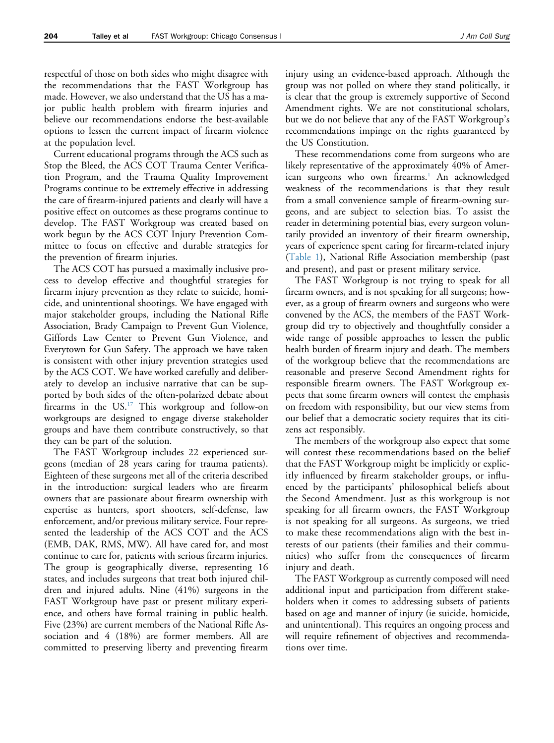respectful of those on both sides who might disagree with the recommendations that the FAST Workgroup has made. However, we also understand that the US has a major public health problem with firearm injuries and believe our recommendations endorse the best-available options to lessen the current impact of firearm violence at the population level.

Current educational programs through the ACS such as Stop the Bleed, the ACS COT Trauma Center Verification Program, and the Trauma Quality Improvement Programs continue to be extremely effective in addressing the care of firearm-injured patients and clearly will have a positive effect on outcomes as these programs continue to develop. The FAST Workgroup was created based on work begun by the ACS COT Injury Prevention Committee to focus on effective and durable strategies for the prevention of firearm injuries.

The ACS COT has pursued a maximally inclusive process to develop effective and thoughtful strategies for firearm injury prevention as they relate to suicide, homicide, and unintentional shootings. We have engaged with major stakeholder groups, including the National Rifle Association, Brady Campaign to Prevent Gun Violence, Giffords Law Center to Prevent Gun Violence, and Everytown for Gun Safety. The approach we have taken is consistent with other injury prevention strategies used by the ACS COT. We have worked carefully and deliberately to develop an inclusive narrative that can be supported by both sides of the often-polarized debate about firearms in the  $US<sup>17</sup>$  This workgroup and follow-on workgroups are designed to engage diverse stakeholder groups and have them contribute constructively, so that they can be part of the solution.

The FAST Workgroup includes 22 experienced surgeons (median of 28 years caring for trauma patients). Eighteen of these surgeons met all of the criteria described in the introduction: surgical leaders who are firearm owners that are passionate about firearm ownership with expertise as hunters, sport shooters, self-defense, law enforcement, and/or previous military service. Four represented the leadership of the ACS COT and the ACS (EMB, DAK, RMS, MW). All have cared for, and most continue to care for, patients with serious firearm injuries. The group is geographically diverse, representing 16 states, and includes surgeons that treat both injured children and injured adults. Nine (41%) surgeons in the FAST Workgroup have past or present military experience, and others have formal training in public health. Five (23%) are current members of the National Rifle Association and 4 (18%) are former members. All are committed to preserving liberty and preventing firearm

injury using an evidence-based approach. Although the group was not polled on where they stand politically, it is clear that the group is extremely supportive of Second Amendment rights. We are not constitutional scholars, but we do not believe that any of the FAST Workgroup's recommendations impinge on the rights guaranteed by the US Constitution.

These recommendations come from surgeons who are likely representative of the approximately 40% of Amer-ican surgeons who own firearms.<sup>[1](#page-7-0)</sup> An acknowledged weakness of the recommendations is that they result from a small convenience sample of firearm-owning surgeons, and are subject to selection bias. To assist the reader in determining potential bias, every surgeon voluntarily provided an inventory of their firearm ownership, years of experience spent caring for firearm-related injury [\(Table 1\)](#page-5-0), National Rifle Association membership (past and present), and past or present military service.

The FAST Workgroup is not trying to speak for all firearm owners, and is not speaking for all surgeons; however, as a group of firearm owners and surgeons who were convened by the ACS, the members of the FAST Workgroup did try to objectively and thoughtfully consider a wide range of possible approaches to lessen the public health burden of firearm injury and death. The members of the workgroup believe that the recommendations are reasonable and preserve Second Amendment rights for responsible firearm owners. The FAST Workgroup expects that some firearm owners will contest the emphasis on freedom with responsibility, but our view stems from our belief that a democratic society requires that its citizens act responsibly.

The members of the workgroup also expect that some will contest these recommendations based on the belief that the FAST Workgroup might be implicitly or explicitly influenced by firearm stakeholder groups, or influenced by the participants' philosophical beliefs about the Second Amendment. Just as this workgroup is not speaking for all firearm owners, the FAST Workgroup is not speaking for all surgeons. As surgeons, we tried to make these recommendations align with the best interests of our patients (their families and their communities) who suffer from the consequences of firearm injury and death.

The FAST Workgroup as currently composed will need additional input and participation from different stakeholders when it comes to addressing subsets of patients based on age and manner of injury (ie suicide, homicide, and unintentional). This requires an ongoing process and will require refinement of objectives and recommendations over time.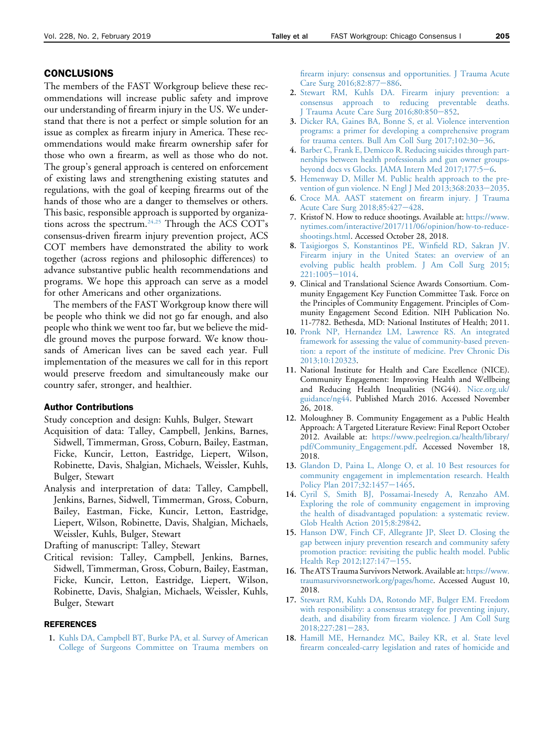#### <span id="page-7-0"></span>CONCLUSIONS

The members of the FAST Workgroup believe these recommendations will increase public safety and improve our understanding of firearm injury in the US. We understand that there is not a perfect or simple solution for an issue as complex as firearm injury in America. These recommendations would make firearm ownership safer for those who own a firearm, as well as those who do not. The group's general approach is centered on enforcement of existing laws and strengthening existing statutes and regulations, with the goal of keeping firearms out of the hands of those who are a danger to themselves or others. This basic, responsible approach is supported by organizations across the spectrum.<sup>24,25</sup> Through the ACS COT's consensus-driven firearm injury prevention project, ACS COT members have demonstrated the ability to work together (across regions and philosophic differences) to advance substantive public health recommendations and programs. We hope this approach can serve as a model for other Americans and other organizations.

The members of the FAST Workgroup know there will be people who think we did not go far enough, and also people who think we went too far, but we believe the middle ground moves the purpose forward. We know thousands of American lives can be saved each year. Full implementation of the measures we call for in this report would preserve freedom and simultaneously make our country safer, stronger, and healthier.

# Author Contributions

Study conception and design: Kuhls, Bulger, Stewart

- Acquisition of data: Talley, Campbell, Jenkins, Barnes, Sidwell, Timmerman, Gross, Coburn, Bailey, Eastman, Ficke, Kuncir, Letton, Eastridge, Liepert, Wilson, Robinette, Davis, Shalgian, Michaels, Weissler, Kuhls, Bulger, Stewart
- Analysis and interpretation of data: Talley, Campbell, Jenkins, Barnes, Sidwell, Timmerman, Gross, Coburn, Bailey, Eastman, Ficke, Kuncir, Letton, Eastridge, Liepert, Wilson, Robinette, Davis, Shalgian, Michaels, Weissler, Kuhls, Bulger, Stewart

Drafting of manuscript: Talley, Stewart

Critical revision: Talley, Campbell, Jenkins, Barnes, Sidwell, Timmerman, Gross, Coburn, Bailey, Eastman, Ficke, Kuncir, Letton, Eastridge, Liepert, Wilson, Robinette, Davis, Shalgian, Michaels, Weissler, Kuhls, Bulger, Stewart

#### **REFERENCES**

1. [Kuhls DA, Campbell BT, Burke PA, et al. Survey of American](http://refhub.elsevier.com/S1072-7515(18)32155-0/sref1) [College of Surgeons Committee on Trauma members on](http://refhub.elsevier.com/S1072-7515(18)32155-0/sref1) [firearm injury: consensus and opportunities. J Trauma Acute](http://refhub.elsevier.com/S1072-7515(18)32155-0/sref1) [Care Surg 2016;82:877](http://refhub.elsevier.com/S1072-7515(18)32155-0/sref1)-[886.](http://refhub.elsevier.com/S1072-7515(18)32155-0/sref1)

- 2. [Stewart RM, Kuhls DA. Firearm injury prevention: a](http://refhub.elsevier.com/S1072-7515(18)32155-0/sref2) [consensus approach to reducing preventable deaths.](http://refhub.elsevier.com/S1072-7515(18)32155-0/sref2) [J Trauma Acute Care Surg 2016;80:850](http://refhub.elsevier.com/S1072-7515(18)32155-0/sref2)-[852.](http://refhub.elsevier.com/S1072-7515(18)32155-0/sref2)
- 3. [Dicker RA, Gaines BA, Bonne S, et al. Violence intervention](http://refhub.elsevier.com/S1072-7515(18)32155-0/sref3) [programs: a primer for developing a comprehensive program](http://refhub.elsevier.com/S1072-7515(18)32155-0/sref3) for trauma centers. Bull Am Coll Surg  $2017;102:30-36$ .
- 4. [Barber C, Frank E, Demicco R. Reducing suicides through part](http://refhub.elsevier.com/S1072-7515(18)32155-0/sref4)[nerships between health professionals and gun owner groups](http://refhub.elsevier.com/S1072-7515(18)32155-0/sref4)[beyond docs vs Glocks. JAMA Intern Med 2017;177:5](http://refhub.elsevier.com/S1072-7515(18)32155-0/sref4)-[6](http://refhub.elsevier.com/S1072-7515(18)32155-0/sref4).
- 5. [Hemenway D, Miller M. Public health approach to the pre](http://refhub.elsevier.com/S1072-7515(18)32155-0/sref5)[vention of gun violence. N Engl J Med 2013;368:2033](http://refhub.elsevier.com/S1072-7515(18)32155-0/sref5)-[2035.](http://refhub.elsevier.com/S1072-7515(18)32155-0/sref5)
- 6. [Croce MA. AAST statement on firearm injury. J Trauma](http://refhub.elsevier.com/S1072-7515(18)32155-0/sref6) [Acute Care Surg 2018;85:427](http://refhub.elsevier.com/S1072-7515(18)32155-0/sref6)-[428.](http://refhub.elsevier.com/S1072-7515(18)32155-0/sref6)
- 7. Kristof N. How to reduce shootings. Available at: [https://www.](https://www.nytimes.com/interactive/2017/11/06/opinion/how-to-reduce-shootings.html) [nytimes.com/interactive/2017/11/06/opinion/how-to-reduce](https://www.nytimes.com/interactive/2017/11/06/opinion/how-to-reduce-shootings.html)[shootings.html.](https://www.nytimes.com/interactive/2017/11/06/opinion/how-to-reduce-shootings.html) Accessed October 28, 2018.
- 8. [Tasigiorgos S, Konstantinos PE, Winfield RD, Sakran JV.](http://refhub.elsevier.com/S1072-7515(18)32155-0/sref8) [Firearm injury in the United States: an overview of an](http://refhub.elsevier.com/S1072-7515(18)32155-0/sref8) [evolving public health problem. J Am Coll Surg 2015;](http://refhub.elsevier.com/S1072-7515(18)32155-0/sref8)  $221:1005 - 1014.$  $221:1005 - 1014.$  $221:1005 - 1014.$
- 9. Clinical and Translational Science Awards Consortium. Community Engagement Key Function Committee Task. Force on the Principles of Community Engagement. Principles of Community Engagement Second Edition. NIH Publication No. 11-7782. Bethesda, MD: National Institutes of Health; 2011.
- 10. [Pronk NP, Hernandez LM, Lawrence RS. An integrated](http://refhub.elsevier.com/S1072-7515(18)32155-0/sref10) [framework for assessing the value of community-based preven](http://refhub.elsevier.com/S1072-7515(18)32155-0/sref10)[tion: a report of the institute of medicine. Prev Chronic Dis](http://refhub.elsevier.com/S1072-7515(18)32155-0/sref10) [2013;10:120323.](http://refhub.elsevier.com/S1072-7515(18)32155-0/sref10)
- 11. National Institute for Health and Care Excellence (NICE). Community Engagement: Improving Health and Wellbeing and Reducing Health Inequalities (NG44). [Nice.org.uk/](http://Nice.org.uk/guidance/ng44) [guidance/ng44.](http://Nice.org.uk/guidance/ng44) Published March 2016. Accessed November 26, 2018.
- 12. Moloughney B. Community Engagement as a Public Health Approach: A Targeted Literature Review: Final Report October 2012. Available at: [https://www.peelregion.ca/health/library/](https://www.peelregion.ca/health/library/pdf/Community_Engagement.pdf) [pdf/Community\\_Engagement.pdf.](https://www.peelregion.ca/health/library/pdf/Community_Engagement.pdf) Accessed November 18, 2018.
- 13. [Glandon D, Paina L, Alonge O, et al. 10 Best resources for](http://refhub.elsevier.com/S1072-7515(18)32155-0/sref13) [community engagement in implementation research. Health](http://refhub.elsevier.com/S1072-7515(18)32155-0/sref13) [Policy Plan 2017;32:1457](http://refhub.elsevier.com/S1072-7515(18)32155-0/sref13)-[1465](http://refhub.elsevier.com/S1072-7515(18)32155-0/sref13).
- 14. [Cyril S, Smith BJ, Possamai-Inesedy A, Renzaho AM.](http://refhub.elsevier.com/S1072-7515(18)32155-0/sref14) [Exploring the role of community engagement in improving](http://refhub.elsevier.com/S1072-7515(18)32155-0/sref14) [the health of disadvantaged population: a systematic review.](http://refhub.elsevier.com/S1072-7515(18)32155-0/sref14) [Glob Health Action 2015;8:29842.](http://refhub.elsevier.com/S1072-7515(18)32155-0/sref14)
- 15. [Hanson DW, Finch CF, Allegrante JP, Sleet D. Closing the](http://refhub.elsevier.com/S1072-7515(18)32155-0/sref15) [gap between injury prevention research and community safety](http://refhub.elsevier.com/S1072-7515(18)32155-0/sref15) [promotion practice: revisiting the public health model. Public](http://refhub.elsevier.com/S1072-7515(18)32155-0/sref15) [Health Rep 2012;127:147](http://refhub.elsevier.com/S1072-7515(18)32155-0/sref15)-[155.](http://refhub.elsevier.com/S1072-7515(18)32155-0/sref15)
- 16. The ATS Trauma Survivors Network. Available at: [https://www.](https://www.traumasurvivorsnetwork.org/pages/home) [traumasurvivorsnetwork.org/pages/home.](https://www.traumasurvivorsnetwork.org/pages/home) Accessed August 10, 2018.
- 17. [Stewart RM, Kuhls DA, Rotondo MF, Bulger EM. Freedom](http://refhub.elsevier.com/S1072-7515(18)32155-0/sref17) [with responsibility: a consensus strategy for preventing injury,](http://refhub.elsevier.com/S1072-7515(18)32155-0/sref17) [death, and disability from firearm violence. J Am Coll Surg](http://refhub.elsevier.com/S1072-7515(18)32155-0/sref17) [2018;227:281](http://refhub.elsevier.com/S1072-7515(18)32155-0/sref17)-[283.](http://refhub.elsevier.com/S1072-7515(18)32155-0/sref17)
- 18. [Hamill ME, Hernandez MC, Bailey KR, et al. State level](http://refhub.elsevier.com/S1072-7515(18)32155-0/sref18) [firearm concealed-carry legislation and rates of homicide and](http://refhub.elsevier.com/S1072-7515(18)32155-0/sref18)